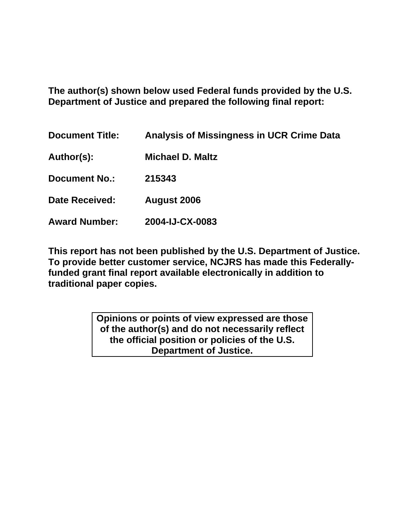**The author(s) shown below used Federal funds provided by the U.S. Department of Justice and prepared the following final report:** 

| <b>Document Title:</b> | <b>Analysis of Missingness in UCR Crime Data</b> |
|------------------------|--------------------------------------------------|
| Author(s):             | <b>Michael D. Maltz</b>                          |
| <b>Document No.:</b>   | 215343                                           |
| <b>Date Received:</b>  | <b>August 2006</b>                               |
| <b>Award Number:</b>   | 2004-IJ-CX-0083                                  |

**This report has not been published by the U.S. Department of Justice. To provide better customer service, NCJRS has made this Federallyfunded grant final report available electronically in addition to traditional paper copies.**

> **Opinions or points of view expressed are those of the author(s) and do not necessarily reflect the official position or policies of the U.S. Department of Justice.**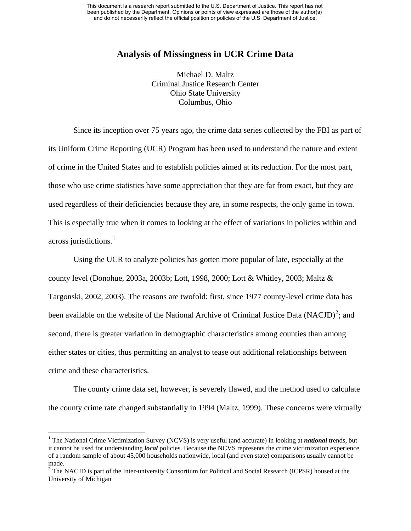# **Analysis of Missingness in UCR Crime Data**

Michael D. Maltz Criminal Justice Research Center Ohio State University Columbus, Ohio

Since its inception over 75 years ago, the crime data series collected by the FBI as part of its Uniform Crime Reporting (UCR) Program has been used to understand the nature and extent of crime in the United States and to establish policies aimed at its reduction. For the most part, those who use crime statistics have some appreciation that they are far from exact, but they are used regardless of their deficiencies because they are, in some respects, the only game in town. This is especially true when it comes to looking at the effect of variations in policies within and across jurisdictions.<sup>[1](#page-1-0)</sup>

Using the UCR to analyze policies has gotten more popular of late, especially at the county level (Donohue, 2003a, 2003b; Lott, 1998, 2000; Lott & Whitley, 2003; Maltz & Targonski, 2002, 2003). The reasons are twofold: first, since 1977 county-level crime data has been available on the website of the National Archive of Criminal Justice Data (NACJD)<sup>[2](#page-1-1)</sup>; and second, there is greater variation in demographic characteristics among counties than among either states or cities, thus permitting an analyst to tease out additional relationships between crime and these characteristics.

The county crime data set, however, is severely flawed, and the method used to calculate the county crime rate changed substantially in 1994 (Maltz, 1999). These concerns were virtually

1

<span id="page-1-0"></span><sup>&</sup>lt;sup>1</sup> The National Crime Victimization Survey (NCVS) is very useful (and accurate) in looking at *national* trends, but it cannot be used for understanding *local* policies. Because the NCVS represents the crime victimization experience of a random sample of about 45,000 households nationwide, local (and even state) comparisons usually cannot be made.

<span id="page-1-1"></span> $2^2$  The NACJD is part of the Inter-university Consortium for Political and Social Research (ICPSR) housed at the University of Michigan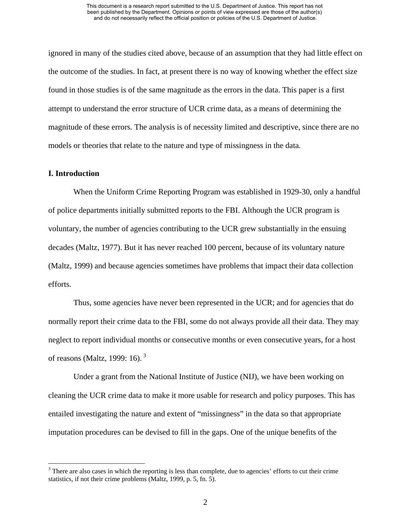ignored in many of the studies cited above, because of an assumption that they had little effect on the outcome of the studies. In fact, at present there is no way of knowing whether the effect size found in those studies is of the same magnitude as the errors in the data. This paper is a first attempt to understand the error structure of UCR crime data, as a means of determining the magnitude of these errors. The analysis is of necessity limited and descriptive, since there are no models or theories that relate to the nature and type of missingness in the data.

## **I. Introduction**

 $\overline{a}$ 

When the Uniform Crime Reporting Program was established in 1929-30, only a handful of police departments initially submitted reports to the FBI. Although the UCR program is voluntary, the number of agencies contributing to the UCR grew substantially in the ensuing decades (Maltz, 1977). But it has never reached 100 percent, because of its voluntary nature (Maltz, 1999) and because agencies sometimes have problems that impact their data collection efforts.

Thus, some agencies have never been represented in the UCR; and for agencies that do normally report their crime data to the FBI, some do not always provide all their data. They may neglect to report individual months or consecutive months or even consecutive years, for a host of reasons (Maltz, 1999: 16). [3](#page-2-0)

Under a grant from the National Institute of Justice (NIJ), we have been working on cleaning the UCR crime data to make it more usable for research and policy purposes. This has entailed investigating the nature and extent of "missingness" in the data so that appropriate imputation procedures can be devised to fill in the gaps. One of the unique benefits of the

<span id="page-2-0"></span> $3$  There are also cases in which the reporting is less than complete, due to agencies' efforts to cut their crime statistics, if not their crime problems (Maltz, 1999, p. 5, fn. 5).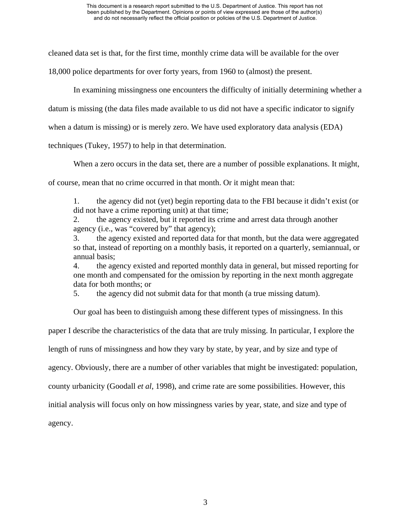cleaned data set is that, for the first time, monthly crime data will be available for the over

18,000 police departments for over forty years, from 1960 to (almost) the present.

In examining missingness one encounters the difficulty of initially determining whether a

datum is missing (the data files made available to us did not have a specific indicator to signify

when a datum is missing) or is merely zero. We have used exploratory data analysis (EDA)

techniques (Tukey, 1957) to help in that determination.

When a zero occurs in the data set, there are a number of possible explanations. It might,

of course, mean that no crime occurred in that month. Or it might mean that:

1. the agency did not (yet) begin reporting data to the FBI because it didn't exist (or did not have a crime reporting unit) at that time;

2. the agency existed, but it reported its crime and arrest data through another agency (i.e., was "covered by" that agency);

3. the agency existed and reported data for that month, but the data were aggregated so that, instead of reporting on a monthly basis, it reported on a quarterly, semiannual, or annual basis;

4. the agency existed and reported monthly data in general, but missed reporting for one month and compensated for the omission by reporting in the next month aggregate data for both months; or

5. the agency did not submit data for that month (a true missing datum).

Our goal has been to distinguish among these different types of missingness. In this

paper I describe the characteristics of the data that are truly missing. In particular, I explore the

length of runs of missingness and how they vary by state, by year, and by size and type of

agency. Obviously, there are a number of other variables that might be investigated: population,

county urbanicity (Goodall *et al*, 1998), and crime rate are some possibilities. However, this

initial analysis will focus only on how missingness varies by year, state, and size and type of

agency.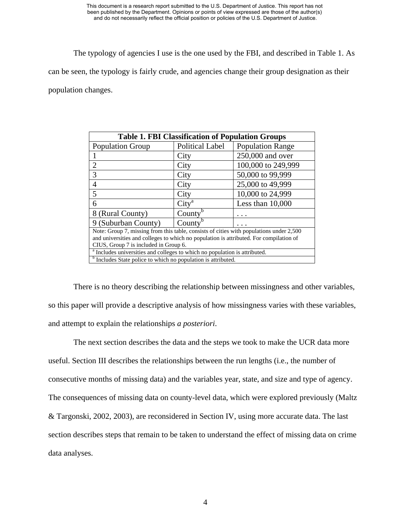The typology of agencies I use is the one used by the FBI, and described in Table 1. As

can be seen, the typology is fairly crude, and agencies change their group designation as their

population changes.

| <b>Table 1. FBI Classification of Population Groups</b>                                                                                                                                                                    |                        |                         |  |
|----------------------------------------------------------------------------------------------------------------------------------------------------------------------------------------------------------------------------|------------------------|-------------------------|--|
| <b>Population Group</b>                                                                                                                                                                                                    | <b>Political Label</b> | <b>Population Range</b> |  |
|                                                                                                                                                                                                                            | City                   | 250,000 and over        |  |
| $\overline{2}$                                                                                                                                                                                                             | City                   | 100,000 to 249,999      |  |
| 3                                                                                                                                                                                                                          | City                   | 50,000 to 99,999        |  |
| 4                                                                                                                                                                                                                          | City                   | 25,000 to 49,999        |  |
| 5                                                                                                                                                                                                                          | City                   | 10,000 to 24,999        |  |
| 6                                                                                                                                                                                                                          | City <sup>a</sup>      | Less than $10,000$      |  |
| 8 (Rural County)                                                                                                                                                                                                           | County                 |                         |  |
| 9 (Suburban County)                                                                                                                                                                                                        | County                 |                         |  |
| Note: Group 7, missing from this table, consists of cities with populations under 2,500<br>and universities and colleges to which no population is attributed. For compilation of<br>CIUS, Group 7 is included in Group 6. |                        |                         |  |
| <sup>a</sup> Includes universities and colleges to which no population is attributed.                                                                                                                                      |                        |                         |  |
| <sup>b</sup> Includes State police to which no population is attributed.                                                                                                                                                   |                        |                         |  |

There is no theory describing the relationship between missingness and other variables, so this paper will provide a descriptive analysis of how missingness varies with these variables, and attempt to explain the relationships *a posteriori*.

The next section describes the data and the steps we took to make the UCR data more useful. Section III describes the relationships between the run lengths (i.e., the number of consecutive months of missing data) and the variables year, state, and size and type of agency. The consequences of missing data on county-level data, which were explored previously (Maltz & Targonski, 2002, 2003), are reconsidered in Section IV, using more accurate data. The last section describes steps that remain to be taken to understand the effect of missing data on crime data analyses.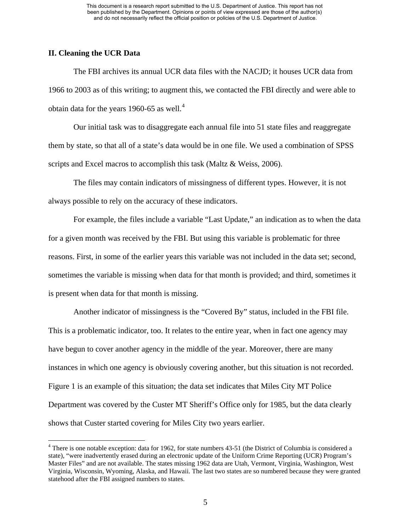### **II. Cleaning the UCR Data**

 $\overline{a}$ 

The FBI archives its annual UCR data files with the NACJD; it houses UCR data from 1966 to 2003 as of this writing; to augment this, we contacted the FBI directly and were able to obtain data for the years 1960-65 as well. $4$ 

Our initial task was to disaggregate each annual file into 51 state files and reaggregate them by state, so that all of a state's data would be in one file. We used a combination of SPSS scripts and Excel macros to accomplish this task (Maltz & Weiss, 2006).

The files may contain indicators of missingness of different types. However, it is not always possible to rely on the accuracy of these indicators.

For example, the files include a variable "Last Update," an indication as to when the data for a given month was received by the FBI. But using this variable is problematic for three reasons. First, in some of the earlier years this variable was not included in the data set; second, sometimes the variable is missing when data for that month is provided; and third, sometimes it is present when data for that month is missing.

Another indicator of missingness is the "Covered By" status, included in the FBI file. This is a problematic indicator, too. It relates to the entire year, when in fact one agency may have begun to cover another agency in the middle of the year. Moreover, there are many instances in which one agency is obviously covering another, but this situation is not recorded. Figure 1 is an example of this situation; the data set indicates that Miles City MT Police Department was covered by the Custer MT Sheriff's Office only for 1985, but the data clearly shows that Custer started covering for Miles City two years earlier.

<span id="page-5-0"></span><sup>&</sup>lt;sup>4</sup> There is one notable exception: data for 1962, for state numbers 43-51 (the District of Columbia is considered a state), "were inadvertently erased during an electronic update of the Uniform Crime Reporting (UCR) Program's Master Files" and are not available. The states missing 1962 data are Utah, Vermont, Virginia, Washington, West Virginia, Wisconsin, Wyoming, Alaska, and Hawaii. The last two states are so numbered because they were granted statehood after the FBI assigned numbers to states.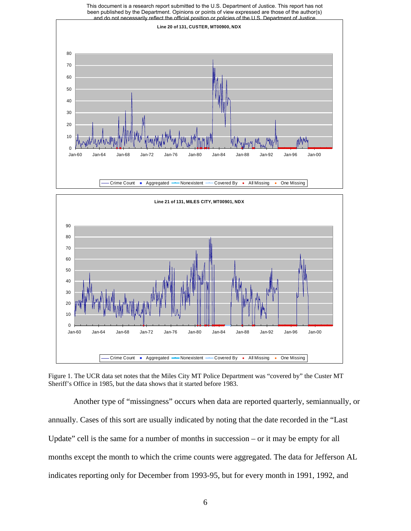

Figure 1. The UCR data set notes that the Miles City MT Police Department was "covered by" the Custer MT Sheriff's Office in 1985, but the data shows that it started before 1983.

Another type of "missingness" occurs when data are reported quarterly, semiannually, or annually. Cases of this sort are usually indicated by noting that the date recorded in the "Last Update" cell is the same for a number of months in succession – or it may be empty for all months except the month to which the crime counts were aggregated. The data for Jefferson AL indicates reporting only for December from 1993-95, but for every month in 1991, 1992, and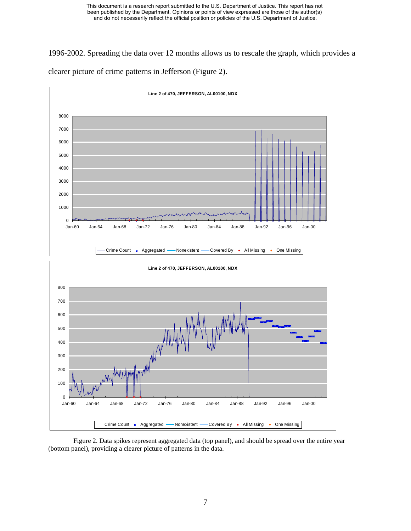1996-2002. Spreading the data over 12 months allows us to rescale the graph, which provides a clearer picture of crime patterns in Jefferson (Figure 2).



Figure 2. Data spikes represent aggregated data (top panel), and should be spread over the entire year (bottom panel), providing a clearer picture of patterns in the data.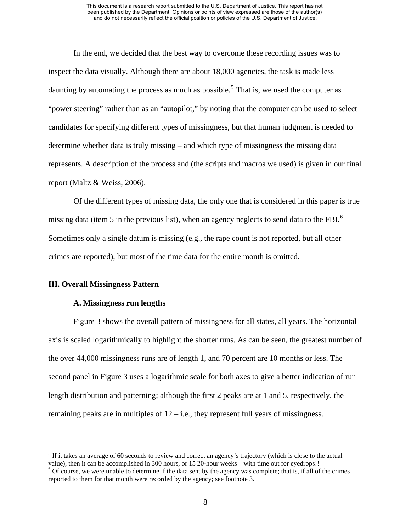In the end, we decided that the best way to overcome these recording issues was to inspect the data visually. Although there are about 18,000 agencies, the task is made less daunting by automating the process as much as possible.<sup>[5](#page-8-0)</sup> That is, we used the computer as "power steering" rather than as an "autopilot," by noting that the computer can be used to select candidates for specifying different types of missingness, but that human judgment is needed to determine whether data is truly missing – and which type of missingness the missing data represents. A description of the process and (the scripts and macros we used) is given in our final report (Maltz & Weiss, 2006).

Of the different types of missing data, the only one that is considered in this paper is true missing data (item 5 in the previous list), when an agency neglects to send data to the FBI.<sup>[6](#page-8-1)</sup> Sometimes only a single datum is missing (e.g., the rape count is not reported, but all other crimes are reported), but most of the time data for the entire month is omitted.

#### **III. Overall Missingness Pattern**

<u>.</u>

#### **A. Missingness run lengths**

Figure 3 shows the overall pattern of missingness for all states, all years. The horizontal axis is scaled logarithmically to highlight the shorter runs. As can be seen, the greatest number of the over 44,000 missingness runs are of length 1, and 70 percent are 10 months or less. The second panel in Figure 3 uses a logarithmic scale for both axes to give a better indication of run length distribution and patterning; although the first 2 peaks are at 1 and 5, respectively, the remaining peaks are in multiples of  $12 - i.e.,$  they represent full years of missingness.

<span id="page-8-0"></span> $<sup>5</sup>$  If it takes an average of 60 seconds to review and correct an agency's trajectory (which is close to the actual</sup> value), then it can be accomplished in 300 hours, or 15 20-hour weeks – with time out for eyedrops!!

<span id="page-8-1"></span> $6$  Of course, we were unable to determine if the data sent by the agency was complete; that is, if all of the crimes reported to them for that month were recorded by the agency; see footnote 3.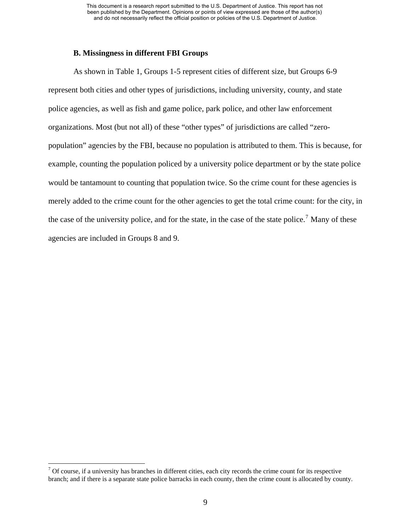### **B. Missingness in different FBI Groups**

As shown in Table 1, Groups 1-5 represent cities of different size, but Groups 6-9 represent both cities and other types of jurisdictions, including university, county, and state police agencies, as well as fish and game police, park police, and other law enforcement organizations. Most (but not all) of these "other types" of jurisdictions are called "zeropopulation" agencies by the FBI, because no population is attributed to them. This is because, for example, counting the population policed by a university police department or by the state police would be tantamount to counting that population twice. So the crime count for these agencies is merely added to the crime count for the other agencies to get the total crime count: for the city, in the case of the university police, and for the state, in the case of the state police.<sup>[7](#page-9-0)</sup> Many of these agencies are included in Groups 8 and 9.

<span id="page-9-0"></span><sup>&</sup>lt;sup>7</sup> Of course, if a university has branches in different cities, each city records the crime count for its respective branch; and if there is a separate state police barracks in each county, then the crime count is allocated by county.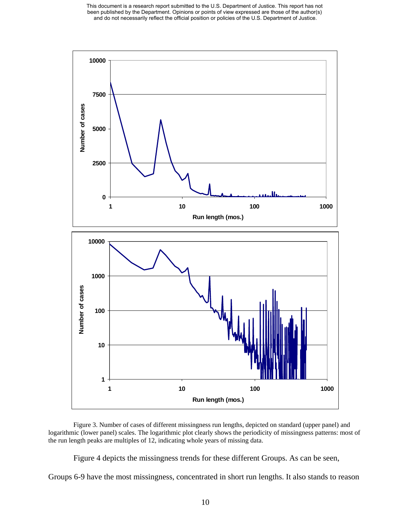This document is a research report submitted to the U.S. Department of Justice. This report has not been published by the Department. Opinions or points of view expressed are those of the author(s) and do not necessarily reflect the official position or policies of the U.S. Department of Justice.



Figure 3. Number of cases of different missingness run lengths, depicted on standard (upper panel) and logarithmic (lower panel) scales. The logarithmic plot clearly shows the periodicity of missingness patterns: most of the run length peaks are multiples of 12, indicating whole years of missing data.

Figure 4 depicts the missingness trends for these different Groups. As can be seen,

Groups 6-9 have the most missingness, concentrated in short run lengths. It also stands to reason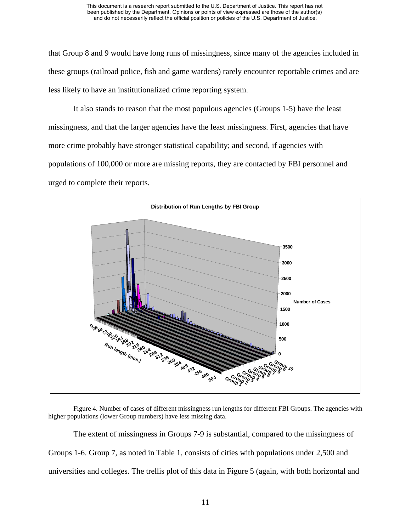that Group 8 and 9 would have long runs of missingness, since many of the agencies included in these groups (railroad police, fish and game wardens) rarely encounter reportable crimes and are less likely to have an institutionalized crime reporting system.

It also stands to reason that the most populous agencies (Groups 1-5) have the least missingness, and that the larger agencies have the least missingness. First, agencies that have more crime probably have stronger statistical capability; and second, if agencies with populations of 100,000 or more are missing reports, they are contacted by FBI personnel and urged to complete their reports.



Figure 4. Number of cases of different missingness run lengths for different FBI Groups. The agencies with higher populations (lower Group numbers) have less missing data.

The extent of missingness in Groups 7-9 is substantial, compared to the missingness of Groups 1-6. Group 7, as noted in Table 1, consists of cities with populations under 2,500 and universities and colleges. The trellis plot of this data in Figure 5 (again, with both horizontal and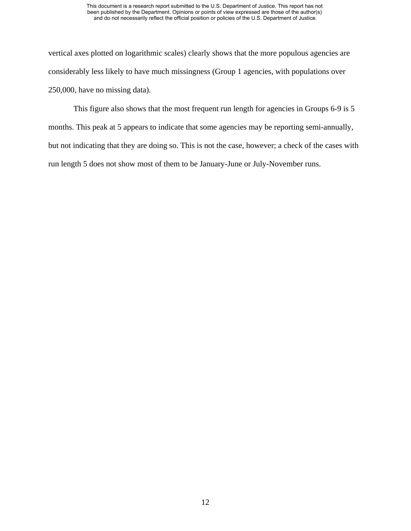vertical axes plotted on logarithmic scales) clearly shows that the more populous agencies are considerably less likely to have much missingness (Group 1 agencies, with populations over 250,000, have no missing data).

This figure also shows that the most frequent run length for agencies in Groups 6-9 is 5 months. This peak at 5 appears to indicate that some agencies may be reporting semi-annually, but not indicating that they are doing so. This is not the case, however; a check of the cases with run length 5 does not show most of them to be January-June or July-November runs.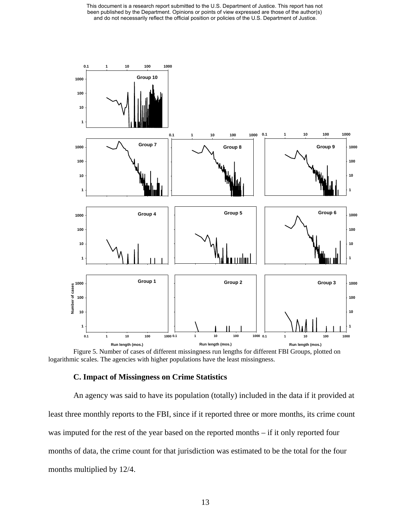This document is a research report submitted to the U.S. Department of Justice. This report has not been published by the Department. Opinions or points of view expressed are those of the author(s) and do not necessarily reflect the official position or policies of the U.S. Department of Justice.



Figure 5. Number of cases of different missingness run lengths for different FBI Groups, plotted on logarithmic scales. The agencies with higher populations have the least missingness.

#### **. Impact of Missingness on Crime Statistics C**

An agency was said to have its population (totally) included in the data if it provided at least three monthly reports to the FBI, since if it reported three or more months, its crime count was imputed for the rest of the year based on the reported months – if it only reported four months of data, the crime count for that jurisdiction was estimated to be the total for the four months multiplied by 12/4.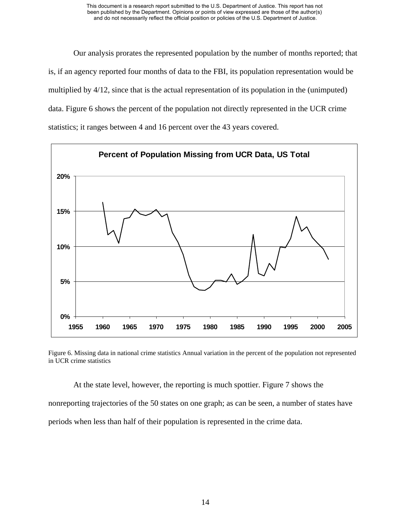Our analysis prorates the represented population by the number of months reported; th at is, if an agency reported four months of data to the FBI, its population representation would be multiplied by 4/12, since that is the actual representation of its population in the (unimputed) data. Figure 6 shows the percent of the population not directly represented in the UCR crime statistics; it ranges between 4 and 16 percent over the 43 years covered.



Figure 6. Missing data in national crime statistics Annual variation in the percent of the population not represented in UCR crime statistics

At the state level, however, the reporting is much spottier. Figure 7 shows the

nonreporting trajectories of the 50 states on one graph; as can be seen, a number of states have periods when less than half of their population is represented in the crime data.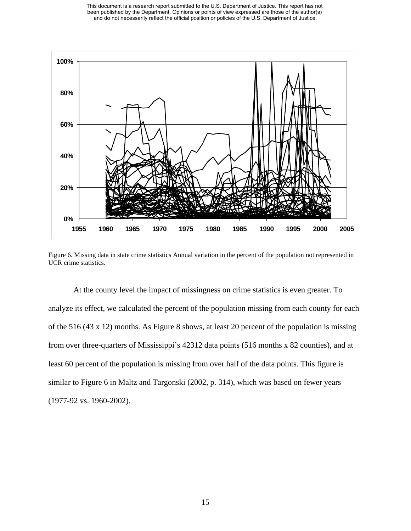

Figure 6. Missing data in state crime statistics Annual variation in the percent of the population not represented in UCR crime statistics.

At the county level the impact of missingness on crime statistics is even greater. To analyze its effect, we calculated the percent of the population missing from each county for each of the 516 (43 x 12) months. As Figure 8 shows, at least 20 percent of the population is missing from over three-quarters of Mississippi's 42312 data points (516 months x 82 counties), and at least 60 percent of the population is missing from over half of the data points. This figure is similar to Figure 6 in Maltz and Targonski (2002, p. 314), which was based on fewer years (1977-92 vs. 1960-2002).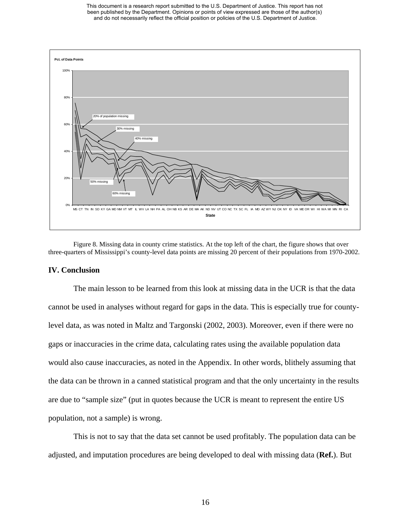This document is a research report submitted to the U.S. Department of Justice. This report has not been published by the Department. Opinions or points of view expressed are those of the author(s) and do not necessarily reflect the official position or policies of the U.S. Department of Justice.



Figure 8. Missing data in county crime statistics. At the top left of the chart, the figure shows that over three-quarters of Mississippi's county-level data points are missing 20 percent of their populations from 1970-2002.

#### **IV. Conclusion**

The main lesson to be learned from this look at missing data in the UCR is that the data cannot be used in analyses without regard for gaps in the data. This is especially true for countylevel data, as was noted in Maltz and Targonski (2002, 2003). Moreover, even if there were no gaps or inaccuracies in the crime data, calculating rates using the available population data would also cause inaccuracies, as noted in the Appendix. In other words, blithely assuming that the data can be thrown in a canned statistical program and that the only uncertainty in the results are due to "sample size" (put in quotes because the UCR is meant to represent the entire US population, not a sample) is wrong.

This is not to say that the data set cannot be used profitably. The population data can be adjusted, and imputation procedures are being developed to deal with missing data (**Ref.**). But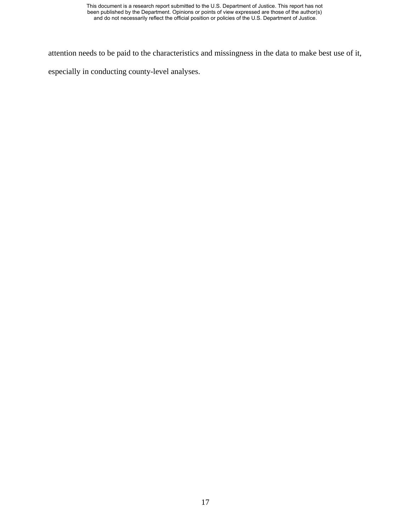attention needs to be paid to the characteristics and missingness in the data to make best use of it,

especially in conducting county-level analyses.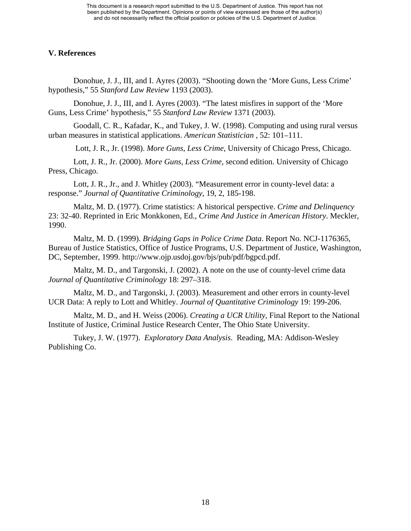## **V. References**

Donohue, J. J., III, and I. Ayres (2003). "Shooting down the 'More Guns, Less Crime' hypothesis," 55 *Stanford Law Review* 1193 (2003).

Donohue, J. J., III, and I. Ayres (2003). "The latest misfires in support of the 'More Guns, Less Crime' hypothesis," 55 *Stanford Law Review* 1371 (2003).

Goodall, C. R., Kafadar, K., and Tukey, J. W. (1998). Computing and using rural versus urban measures in statistical applications. *American Statistician* , 52: 101–111.

Lott, J. R., Jr. (1998). *More Guns, Less Crime*, University of Chicago Press, Chicago.

Lott, J. R., Jr. (2000). *More Guns, Less Crime*, second edition. University of Chicago Press, Chicago.

Lott, J. R., Jr., and J. Whitley (2003). "Measurement error in county-level data: a response." *Journal of Quantitative Criminology*, 19, 2, 185-198.

Maltz, M. D. (1977). Crime statistics: A historical perspective. *Crime and Delinquency* 23: 32-40. Reprinted in Eric Monkkonen, Ed., *Crime And Justice in American History*. Meckler, 1990.

Maltz, M. D. (1999). *Bridging Gaps in Police Crime Data*. Report No. NCJ-1176365, Bureau of Justice Statistics, Office of Justice Programs, U.S. Department of Justice, Washington, DC, September, 1999. http://www.ojp.usdoj.gov/bjs/pub/pdf/bgpcd.pdf.

Maltz, M. D., and Targonski, J. (2002). A note on the use of county-level crime data *Journal of Quantitative Criminology* 18: 297–318.

Maltz, M. D., and Targonski, J. (2003). Measurement and other errors in county-level UCR Data: A reply to Lott and Whitley. *Journal of Quantitative Criminology* 19: 199-206.

Maltz, M. D., and H. Weiss (2006). *Creating a UCR Utility,* Final Report to the National Institute of Justice, Criminal Justice Research Center, The Ohio State University.

Tukey, J. W. (1977). *Exploratory Data Analysis*. Reading, MA: Addison-Wesley Publishing Co.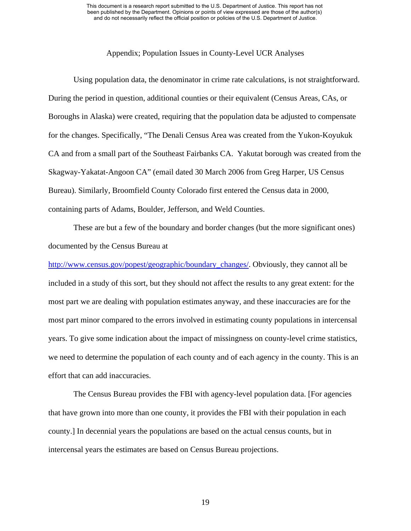#### Appendix; Population Issues in County-Level UCR Analyses

Using population data, the denominator in crime rate calculations, is not straightforward. During the period in question, additional counties or their equivalent (Census Areas, CAs, or Boroughs in Alaska) were created, requiring that the population data be adjusted to compensate for the changes. Specifically, "The Denali Census Area was created from the Yukon-Koyukuk CA and from a small part of the Southeast Fairbanks CA. Yakutat borough was created from the Skagway-Yakatat-Angoon CA" (email dated 30 March 2006 from Greg Harper, US Census Bureau). Similarly, Broomfield County Colorado first entered the Census data in 2000, containing parts of Adams, Boulder, Jefferson, and Weld Counties.

These are but a few of the boundary and border changes (but the more significant ones) documented by the Census Bureau at

[http://www.census.gov/popest/geographic/boundary\\_changes/.](http://www.census.gov/popest/geographic/boundary_changes/) Obviously, they cannot all be included in a study of this sort, but they should not affect the results to any great extent: for the most part we are dealing with population estimates anyway, and these inaccuracies are for the most part minor compared to the errors involved in estimating county populations in intercensal years. To give some indication about the impact of missingness on county-level crime statistics, we need to determine the population of each county and of each agency in the county. This is an effort that can add inaccuracies.

The Census Bureau provides the FBI with agency-level population data. [For agencies that have grown into more than one county, it provides the FBI with their population in each county.] In decennial years the populations are based on the actual census counts, but in intercensal years the estimates are based on Census Bureau projections.